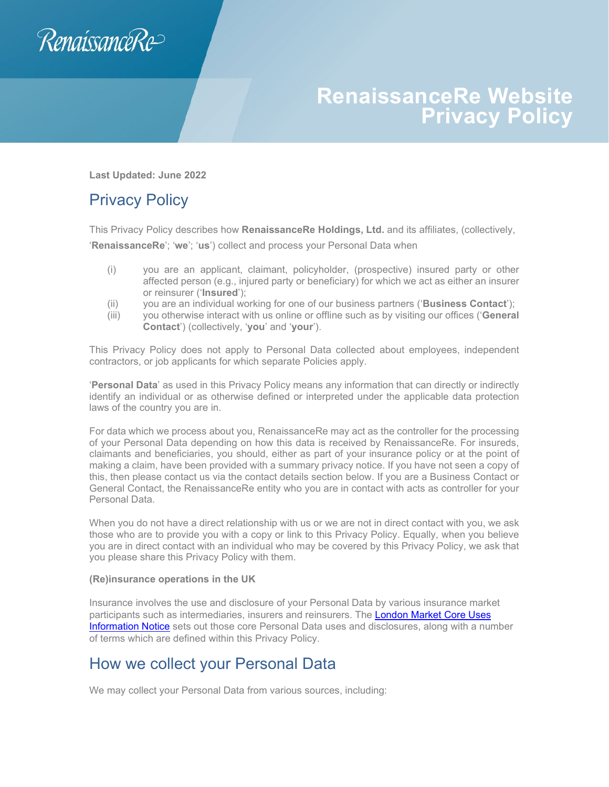

# **RenaissanceRe Website Privacy Policy**

**Last Updated: June 2022**

# Privacy Policy

This Privacy Policy describes how **RenaissanceRe Holdings, Ltd.** and its affiliates, (collectively, '**RenaissanceRe**'; '**we**'; '**us**') collect and process your Personal Data when

- (i) you are an applicant, claimant, policyholder, (prospective) insured party or other affected person (e.g., injured party or beneficiary) for which we act as either an insurer or reinsurer ('**Insured**');
- (ii) you are an individual working for one of our business partners ('**Business Contact**');
- (iii) you otherwise interact with us online or offline such as by visiting our offices ('**General Contact**') (collectively, '**you**' and '**your**').

This Privacy Policy does not apply to Personal Data collected about employees, independent contractors, or job applicants for which separate Policies apply.

'**Personal Data**' as used in this Privacy Policy means any information that can directly or indirectly identify an individual or as otherwise defined or interpreted under the applicable data protection laws of the country you are in.

For data which we process about you, RenaissanceRe may act as the controller for the processing of your Personal Data depending on how this data is received by RenaissanceRe. For insureds, claimants and beneficiaries, you should, either as part of your insurance policy or at the point of making a claim, have been provided with a summary privacy notice. If you have not seen a copy of this, then please contact us via the contact details section below. If you are a Business Contact or General Contact, the RenaissanceRe entity who you are in contact with acts as controller for your Personal Data.

When you do not have a direct relationship with us or we are not in direct contact with you, we ask those who are to provide you with a copy or link to this Privacy Policy. Equally, when you believe you are in direct contact with an individual who may be covered by this Privacy Policy, we ask that you please share this Privacy Policy with them.

#### **(Re)insurance operations in the UK**

Insurance involves the use and disclosure of your Personal Data by various insurance market participants such as intermediaries, insurers and reinsurers. The London Market Core Uses [Information Notice](https://lmg.london/wp-content/uploads/2019/07/LMA-Insurance-Market-Information-Uses-Notice-post-enactment-31-05-2018.pdf) sets out those core Personal Data uses and disclosures, along with a number of terms which are defined within this Privacy Policy.

# How we collect your Personal Data

We may collect your Personal Data from various sources, including: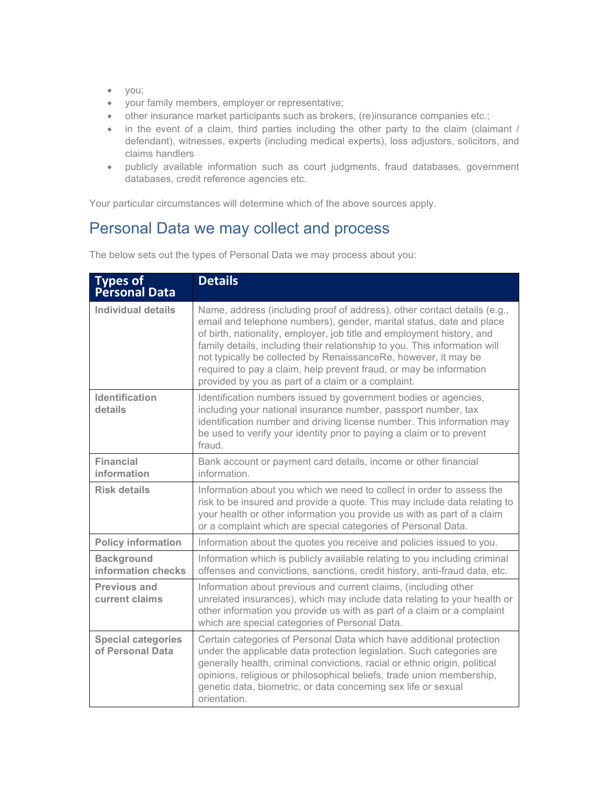- you;
- your family members, employer or representative;
- other insurance market participants such as brokers, (re)insurance companies etc.;
- in the event of a claim, third parties including the other party to the claim (claimant / defendant), witnesses, experts (including medical experts), loss adjustors, solicitors, and claims handlers
- publicly available information such as court judgments, fraud databases, government databases, credit reference agencies etc.

Your particular circumstances will determine which of the above sources apply.

### Personal Data we may collect and process

**Types of Personal Data Details** Individual details | Name, address (including proof of address), other contact details (e.g., email and telephone numbers), gender, marital status, date and place of birth, nationality, employer, job title and employment history, and family details, including their relationship to you. This information will not typically be collected by RenaissanceRe, however, it may be required to pay a claim, help prevent fraud, or may be information provided by you as part of a claim or a complaint. **Identification details** Identification numbers issued by government bodies or agencies, including your national insurance number, passport number, tax identification number and driving license number. This information may be used to verify your identity prior to paying a claim or to prevent fraud. **Financial information** Bank account or payment card details, income or other financial information. **Risk details** Information about you which we need to collect in order to assess the risk to be insured and provide a quote. This may include data relating to your health or other information you provide us with as part of a claim or a complaint which are special categories of Personal Data. **Policy information** Information about the quotes you receive and policies issued to you. **Background information checks**  Information which is publicly available relating to you including criminal offenses and convictions, sanctions, credit history, anti-fraud data, etc. **Previous and current claims**  Information about previous and current claims, (including other unrelated insurances), which may include data relating to your health or other information you provide us with as part of a claim or a complaint which are special categories of Personal Data. **Special categories of Personal Data** Certain categories of Personal Data which have additional protection under the applicable data protection legislation. Such categories are generally health, criminal convictions, racial or ethnic origin, political opinions, religious or philosophical beliefs, trade union membership, genetic data, biometric, or data concerning sex life or sexual orientation.

The below sets out the types of Personal Data we may process about you: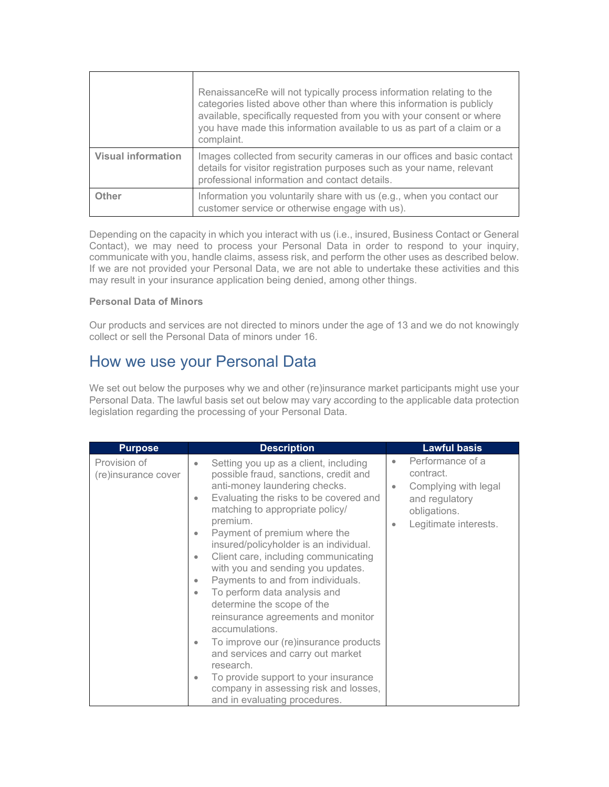|                           | RenaissanceRe will not typically process information relating to the<br>categories listed above other than where this information is publicly<br>available, specifically requested from you with your consent or where<br>you have made this information available to us as part of a claim or a<br>complaint. |
|---------------------------|----------------------------------------------------------------------------------------------------------------------------------------------------------------------------------------------------------------------------------------------------------------------------------------------------------------|
| <b>Visual information</b> | Images collected from security cameras in our offices and basic contact<br>details for visitor registration purposes such as your name, relevant<br>professional information and contact details.                                                                                                              |
| Other                     | Information you voluntarily share with us (e.g., when you contact our<br>customer service or otherwise engage with us).                                                                                                                                                                                        |

Depending on the capacity in which you interact with us (i.e., insured, Business Contact or General Contact), we may need to process your Personal Data in order to respond to your inquiry, communicate with you, handle claims, assess risk, and perform the other uses as described below. If we are not provided your Personal Data, we are not able to undertake these activities and this may result in your insurance application being denied, among other things.

#### **Personal Data of Minors**

Our products and services are not directed to minors under the age of 13 and we do not knowingly collect or sell the Personal Data of minors under 16.

# How we use your Personal Data

We set out below the purposes why we and other (re)insurance market participants might use your Personal Data. The lawful basis set out below may vary according to the applicable data protection legislation regarding the processing of your Personal Data.

| <b>Purpose</b>                      | <b>Description</b>                                                                                                                                                                                                                                                                                                                                                                                                                                                                                                                                                                                                                                                                                                                                                                                                                      | <b>Lawful basis</b>                                                                                                                             |
|-------------------------------------|-----------------------------------------------------------------------------------------------------------------------------------------------------------------------------------------------------------------------------------------------------------------------------------------------------------------------------------------------------------------------------------------------------------------------------------------------------------------------------------------------------------------------------------------------------------------------------------------------------------------------------------------------------------------------------------------------------------------------------------------------------------------------------------------------------------------------------------------|-------------------------------------------------------------------------------------------------------------------------------------------------|
| Provision of<br>(re)insurance cover | Setting you up as a client, including<br>$\bullet$<br>possible fraud, sanctions, credit and<br>anti-money laundering checks.<br>Evaluating the risks to be covered and<br>$\bullet$<br>matching to appropriate policy/<br>premium.<br>Payment of premium where the<br>$\bullet$<br>insured/policyholder is an individual.<br>Client care, including communicating<br>$\bullet$<br>with you and sending you updates.<br>Payments to and from individuals.<br>$\bullet$<br>To perform data analysis and<br>$\bullet$<br>determine the scope of the<br>reinsurance agreements and monitor<br>accumulations.<br>To improve our (re)insurance products<br>$\bullet$<br>and services and carry out market<br>research.<br>To provide support to your insurance<br>۰<br>company in assessing risk and losses,<br>and in evaluating procedures. | Performance of a<br>$\bullet$<br>contract.<br>Complying with legal<br>$\bullet$<br>and regulatory<br>obligations.<br>Legitimate interests.<br>۰ |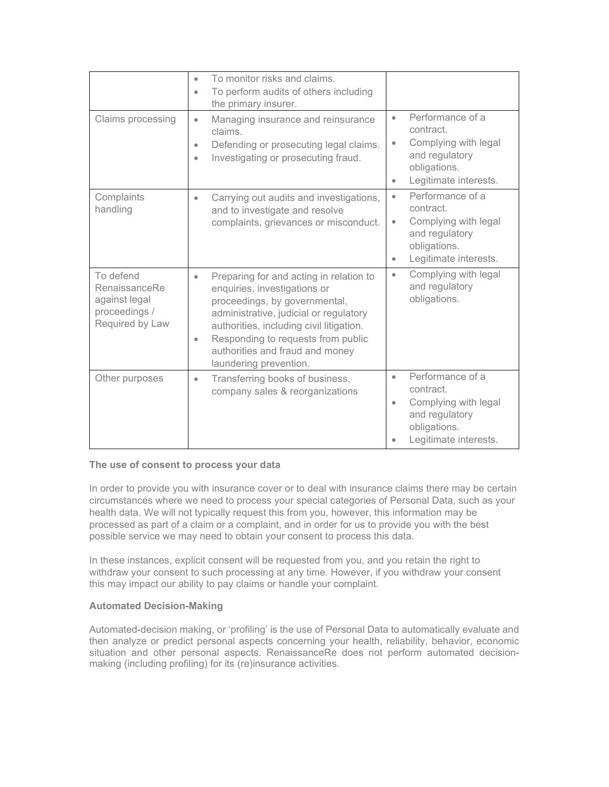|                                                                                 | To monitor risks and claims.<br>$\bullet$<br>To perform audits of others including<br>$\bullet$<br>the primary insurer.                                                                                                                                                                                                     |                                                                                                                                                         |
|---------------------------------------------------------------------------------|-----------------------------------------------------------------------------------------------------------------------------------------------------------------------------------------------------------------------------------------------------------------------------------------------------------------------------|---------------------------------------------------------------------------------------------------------------------------------------------------------|
| Claims processing                                                               | Managing insurance and reinsurance<br>$\bullet$<br>claims.<br>Defending or prosecuting legal claims.<br>$\bullet$<br>Investigating or prosecuting fraud.<br>$\bullet$                                                                                                                                                       | Performance of a<br>$\bullet$<br>contract.<br>Complying with legal<br>$\bullet$<br>and regulatory<br>obligations.<br>Legitimate interests.<br>$\bullet$ |
| Complaints<br>handling                                                          | Carrying out audits and investigations,<br>$\bullet$<br>and to investigate and resolve<br>complaints, grievances or misconduct.                                                                                                                                                                                             | Performance of a<br>$\bullet$<br>contract.<br>Complying with legal<br>$\bullet$<br>and regulatory<br>obligations.<br>Legitimate interests.<br>$\bullet$ |
| To defend<br>RenaissanceRe<br>against legal<br>proceedings /<br>Required by Law | Preparing for and acting in relation to<br>$\bullet$<br>enquiries, investigations or<br>proceedings, by governmental,<br>administrative, judicial or regulatory<br>authorities, including civil litigation.<br>Responding to requests from public<br>$\bullet$<br>authorities and fraud and money<br>laundering prevention. | Complying with legal<br>$\bullet$<br>and regulatory<br>obligations.                                                                                     |
| Other purposes                                                                  | Transferring books of business,<br>$\bullet$<br>company sales & reorganizations                                                                                                                                                                                                                                             | Performance of a<br>$\bullet$<br>contract.<br>Complying with legal<br>$\bullet$<br>and regulatory<br>obligations.<br>Legitimate interests.              |

#### **The use of consent to process your data**

In order to provide you with insurance cover or to deal with insurance claims there may be certain circumstances where we need to process your special categories of Personal Data, such as your health data. We will not typically request this from you, however, this information may be processed as part of a claim or a complaint, and in order for us to provide you with the best possible service we may need to obtain your consent to process this data.

In these instances, explicit consent will be requested from you, and you retain the right to withdraw your consent to such processing at any time. However, if you withdraw your consent this may impact our ability to pay claims or handle your complaint.

#### **Automated Decision-Making**

Automated-decision making, or 'profiling' is the use of Personal Data to automatically evaluate and then analyze or predict personal aspects concerning your health, reliability, behavior, economic situation and other personal aspects. RenaissanceRe does not perform automated decisionmaking (including profiling) for its (re)insurance activities.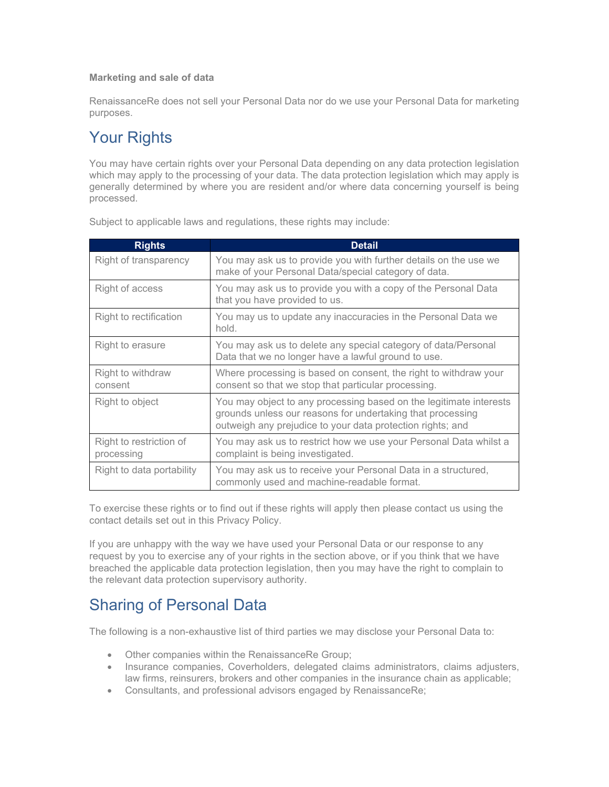#### **Marketing and sale of data**

RenaissanceRe does not sell your Personal Data nor do we use your Personal Data for marketing purposes.

# Your Rights

You may have certain rights over your Personal Data depending on any data protection legislation which may apply to the processing of your data. The data protection legislation which may apply is generally determined by where you are resident and/or where data concerning yourself is being processed.

| <b>Rights</b>                         | <b>Detail</b>                                                                                                                                                                                  |
|---------------------------------------|------------------------------------------------------------------------------------------------------------------------------------------------------------------------------------------------|
| Right of transparency                 | You may ask us to provide you with further details on the use we<br>make of your Personal Data/special category of data.                                                                       |
| Right of access                       | You may ask us to provide you with a copy of the Personal Data<br>that you have provided to us.                                                                                                |
| Right to rectification                | You may us to update any inaccuracies in the Personal Data we<br>hold.                                                                                                                         |
| Right to erasure                      | You may ask us to delete any special category of data/Personal<br>Data that we no longer have a lawful ground to use.                                                                          |
| Right to withdraw<br>consent          | Where processing is based on consent, the right to withdraw your<br>consent so that we stop that particular processing.                                                                        |
| Right to object                       | You may object to any processing based on the legitimate interests<br>grounds unless our reasons for undertaking that processing<br>outweigh any prejudice to your data protection rights; and |
| Right to restriction of<br>processing | You may ask us to restrict how we use your Personal Data whilst a<br>complaint is being investigated.                                                                                          |
| Right to data portability             | You may ask us to receive your Personal Data in a structured,<br>commonly used and machine-readable format.                                                                                    |

Subject to applicable laws and regulations, these rights may include:

To exercise these rights or to find out if these rights will apply then please contact us using the contact details set out in this Privacy Policy.

If you are unhappy with the way we have used your Personal Data or our response to any request by you to exercise any of your rights in the section above, or if you think that we have breached the applicable data protection legislation, then you may have the right to complain to the relevant data protection supervisory authority.

# Sharing of Personal Data

The following is a non-exhaustive list of third parties we may disclose your Personal Data to:

- Other companies within the RenaissanceRe Group;
- Insurance companies, Coverholders, delegated claims administrators, claims adjusters, law firms, reinsurers, brokers and other companies in the insurance chain as applicable;
- Consultants, and professional advisors engaged by RenaissanceRe;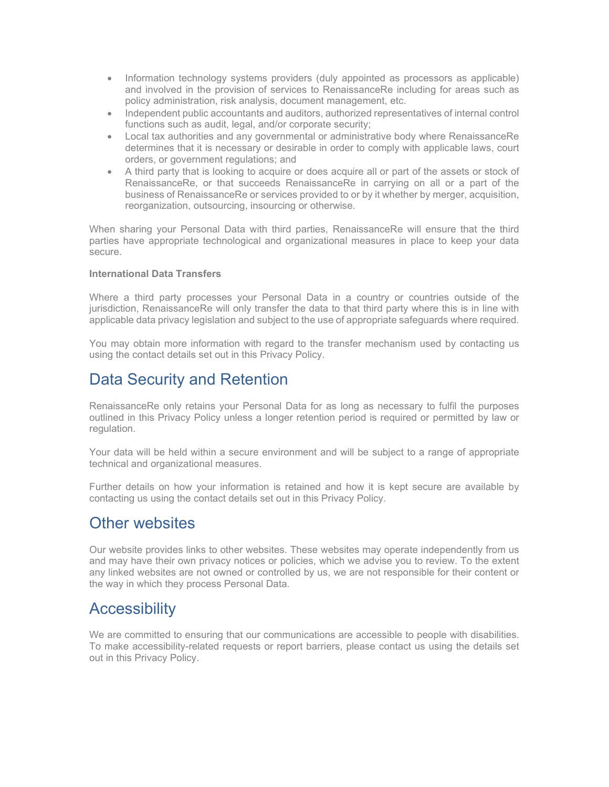- Information technology systems providers (duly appointed as processors as applicable) and involved in the provision of services to RenaissanceRe including for areas such as policy administration, risk analysis, document management, etc.
- Independent public accountants and auditors, authorized representatives of internal control functions such as audit, legal, and/or corporate security;
- Local tax authorities and any governmental or administrative body where RenaissanceRe determines that it is necessary or desirable in order to comply with applicable laws, court orders, or government regulations; and
- A third party that is looking to acquire or does acquire all or part of the assets or stock of RenaissanceRe, or that succeeds RenaissanceRe in carrying on all or a part of the business of RenaissanceRe or services provided to or by it whether by merger, acquisition, reorganization, outsourcing, insourcing or otherwise.

When sharing your Personal Data with third parties, RenaissanceRe will ensure that the third parties have appropriate technological and organizational measures in place to keep your data secure.

#### **International Data Transfers**

Where a third party processes your Personal Data in a country or countries outside of the jurisdiction, RenaissanceRe will only transfer the data to that third party where this is in line with applicable data privacy legislation and subject to the use of appropriate safeguards where required.

You may obtain more information with regard to the transfer mechanism used by contacting us using the contact details set out in this Privacy Policy.

# Data Security and Retention

RenaissanceRe only retains your Personal Data for as long as necessary to fulfil the purposes outlined in this Privacy Policy unless a longer retention period is required or permitted by law or regulation.

Your data will be held within a secure environment and will be subject to a range of appropriate technical and organizational measures.

Further details on how your information is retained and how it is kept secure are available by contacting us using the contact details set out in this Privacy Policy.

### Other websites

Our website provides links to other websites. These websites may operate independently from us and may have their own privacy notices or policies, which we advise you to review. To the extent any linked websites are not owned or controlled by us, we are not responsible for their content or the way in which they process Personal Data.

### **Accessibility**

We are committed to ensuring that our communications are accessible to people with disabilities. To make accessibility-related requests or report barriers, please contact us using the details set out in this Privacy Policy.